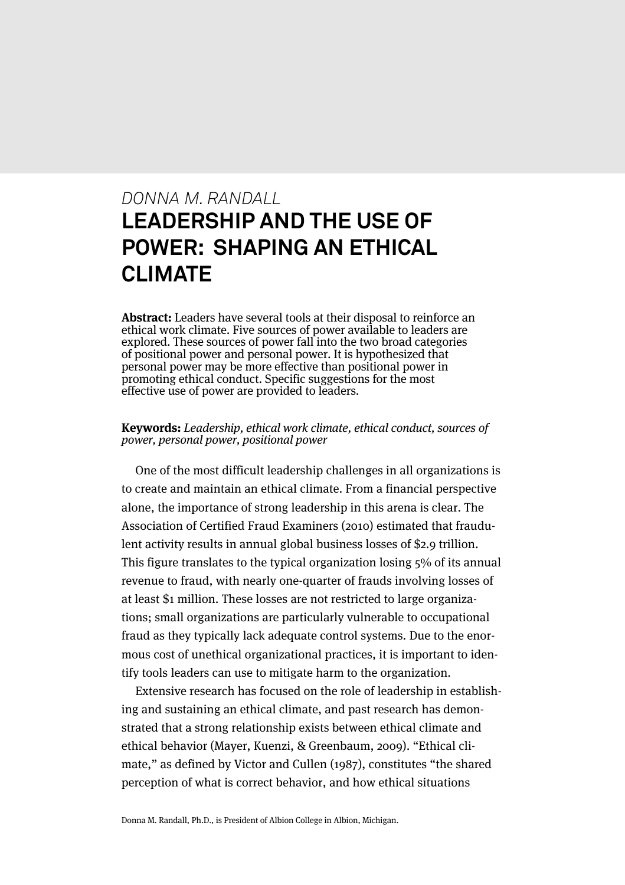# *DONNA M. RANDALL* **LEADERSHIP AND THE USE OF POWER: SHAPING AN ETHICAL CLIMATE**

**Abstract:** Leaders have several tools at their disposal to reinforce an ethical work climate. Five sources of power available to leaders are explored. These sources of power fall into the two broad categories of positional power and personal power. It is hypothesized that personal power may be more effective than positional power in promoting ethical conduct. Specific suggestions for the most effective use of power are provided to leaders.

#### **Keywords:** Leadership, ethical work climate, ethical conduct, sources of power, personal power, positional power

One of the most difficult leadership challenges in all organizations is to create and maintain an ethical climate. From a financial perspective alone, the importance of strong leadership in this arena is clear. The Association of Certified Fraud Examiners (2010) estimated that fraudulent activity results in annual global business losses of \$2.9 trillion. This figure translates to the typical organization losing 5% of its annual revenue to fraud, with nearly one-quarter of frauds involving losses of at least \$1 million. These losses are not restricted to large organizations; small organizations are particularly vulnerable to occupational fraud as they typically lack adequate control systems. Due to the enormous cost of unethical organizational practices, it is important to identify tools leaders can use to mitigate harm to the organization.

Extensive research has focused on the role of leadership in establishing and sustaining an ethical climate, and past research has demonstrated that a strong relationship exists between ethical climate and ethical behavior (Mayer, Kuenzi, & Greenbaum, 2009). "Ethical climate," as defined by Victor and Cullen (1987), constitutes "the shared perception of what is correct behavior, and how ethical situations

Donna M. Randall, Ph.D., is President of Albion College in Albion, Michigan.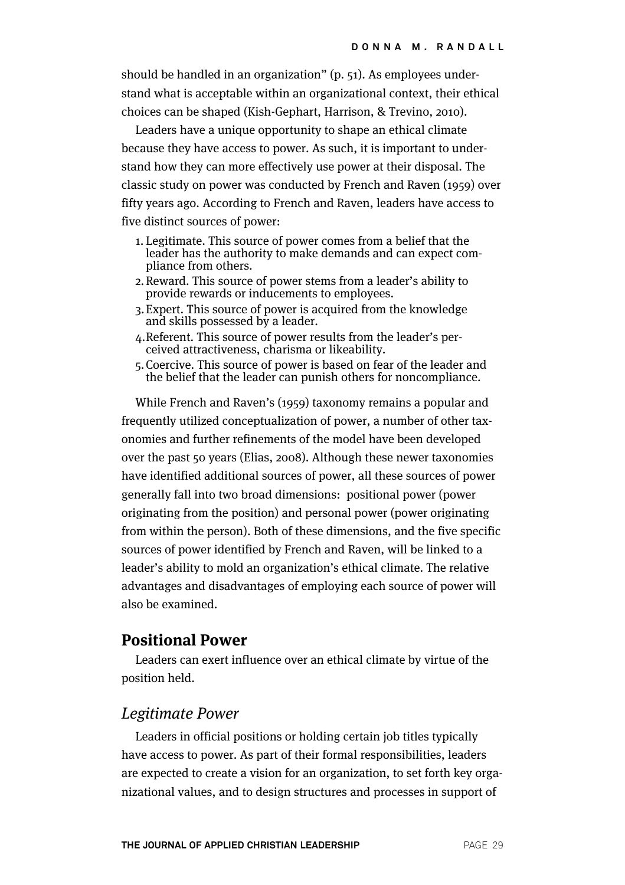should be handled in an organization" (p. 51). As employees understand what is acceptable within an organizational context, their ethical choices can be shaped (Kish-Gephart, Harrison, & Trevino, 2010).

Leaders have a unique opportunity to shape an ethical climate because they have access to power. As such, it is important to understand how they can more effectively use power at their disposal. The classic study on power was conducted by French and Raven (1959) over fifty years ago. According to French and Raven, leaders have access to five distinct sources of power:

- 1. Legitimate. This source of power comes from a belief that the leader has the authority to make demands and can expect com- pliance from others.
- 2.Reward. This source of power stems from a leader's ability to provide rewards or inducements to employees.
- 3.Expert. This source of power is acquired from the knowledge and skills possessed by a leader.
- 4.Referent. This source of power results from the leader's per- ceived attractiveness, charisma or likeability.
- 5.Coercive. This source of power is based on fear of the leader and the belief that the leader can punish others for noncompliance.

While French and Raven's (1959) taxonomy remains a popular and frequently utilized conceptualization of power, a number of other taxonomies and further refinements of the model have been developed over the past 50 years (Elias, 2008). Although these newer taxonomies have identified additional sources of power, all these sources of power generally fall into two broad dimensions: positional power (power originating from the position) and personal power (power originating from within the person). Both of these dimensions, and the five specific sources of power identified by French and Raven, will be linked to a leader's ability to mold an organization's ethical climate. The relative advantages and disadvantages of employing each source of power will also be examined.

#### **Positional Power**

Leaders can exert influence over an ethical climate by virtue of the position held.

#### Legitimate Power

Leaders in official positions or holding certain job titles typically have access to power. As part of their formal responsibilities, leaders are expected to create a vision for an organization, to set forth key organizational values, and to design structures and processes in support of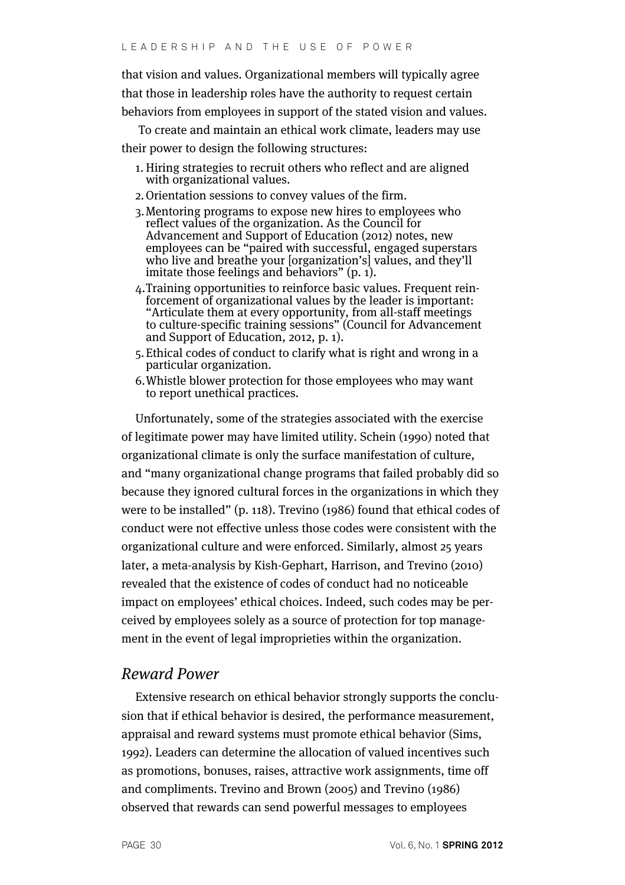that vision and values. Organizational members will typically agree that those in leadership roles have the authority to request certain behaviors from employees in support of the stated vision and values.

To create and maintain an ethical work climate, leaders may use their power to design the following structures:

- 1. Hiring strategies to recruit others who reflect and are aligned with organizational values.
- 2.Orientation sessions to convey values of the firm.
- 3.Mentoring programs to expose new hires to employees who reflect values of the organization. As the Council for Advancement and Support of Education (2012) notes, new employees can be "paired with successful, engaged superstars who live and breathe your [organization's] values, and they'll imitate those feelings and behaviors" (p. 1).
- 4.Training opportunities to reinforce basic values. Frequent rein- forcement of organizational values by the leader is important: "Articulate them at every opportunity, from all-staff meetings to culture-specific training sessions" (Council for Advancement and Support of Education, 2012, p. 1).
- 5.Ethical codes of conduct to clarify what is right and wrong in a particular organization.
- 6.Whistle blower protection for those employees who may want to report unethical practices.

Unfortunately, some of the strategies associated with the exercise of legitimate power may have limited utility. Schein (1990) noted that organizational climate is only the surface manifestation of culture, and "many organizational change programs that failed probably did so because they ignored cultural forces in the organizations in which they were to be installed" (p. 118). Trevino (1986) found that ethical codes of conduct were not effective unless those codes were consistent with the organizational culture and were enforced. Similarly, almost 25 years later, a meta-analysis by Kish-Gephart, Harrison, and Trevino (2010) revealed that the existence of codes of conduct had no noticeable impact on employees' ethical choices. Indeed, such codes may be perceived by employees solely as a source of protection for top management in the event of legal improprieties within the organization.

### Reward Power

Extensive research on ethical behavior strongly supports the conclusion that if ethical behavior is desired, the performance measurement, appraisal and reward systems must promote ethical behavior (Sims, 1992). Leaders can determine the allocation of valued incentives such as promotions, bonuses, raises, attractive work assignments, time off and compliments. Trevino and Brown (2005) and Trevino (1986) observed that rewards can send powerful messages to employees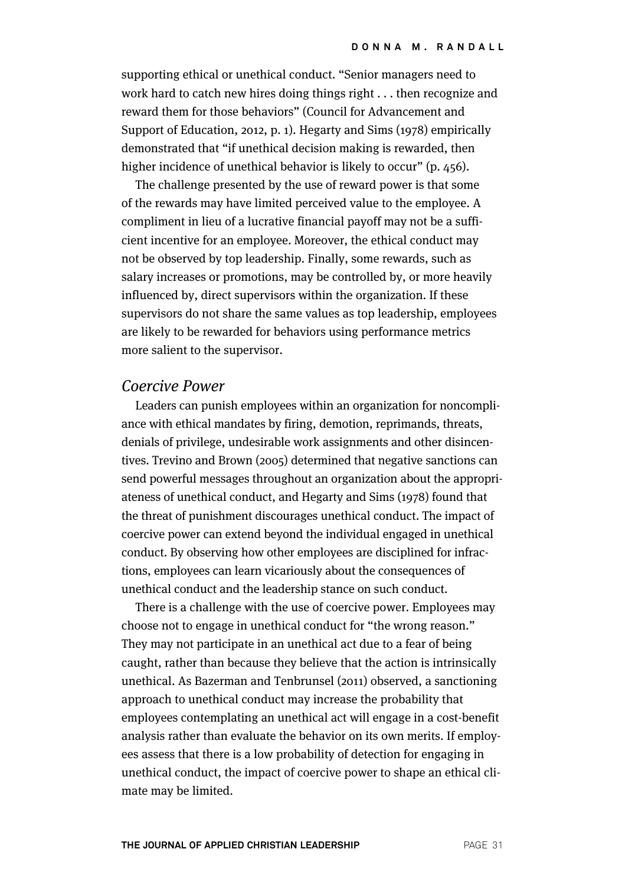supporting ethical or unethical conduct. "Senior managers need to work hard to catch new hires doing things right . . . then recognize and reward them for those behaviors" (Council for Advancement and Support of Education, 2012, p. 1). Hegarty and Sims (1978) empirically demonstrated that "if unethical decision making is rewarded, then higher incidence of unethical behavior is likely to occur" (p. 456).

The challenge presented by the use of reward power is that some of the rewards may have limited perceived value to the employee. A compliment in lieu of a lucrative financial payoff may not be a sufficient incentive for an employee. Moreover, the ethical conduct may not be observed by top leadership. Finally, some rewards, such as salary increases or promotions, may be controlled by, or more heavily influenced by, direct supervisors within the organization. If these supervisors do not share the same values as top leadership, employees are likely to be rewarded for behaviors using performance metrics more salient to the supervisor.

#### Coercive Power

Leaders can punish employees within an organization for noncompliance with ethical mandates by firing, demotion, reprimands, threats, denials of privilege, undesirable work assignments and other disincentives. Trevino and Brown (2005) determined that negative sanctions can send powerful messages throughout an organization about the appropriateness of unethical conduct, and Hegarty and Sims (1978) found that the threat of punishment discourages unethical conduct. The impact of coercive power can extend beyond the individual engaged in unethical conduct. By observing how other employees are disciplined for infractions, employees can learn vicariously about the consequences of unethical conduct and the leadership stance on such conduct.

There is a challenge with the use of coercive power. Employees may choose not to engage in unethical conduct for "the wrong reason." They may not participate in an unethical act due to a fear of being caught, rather than because they believe that the action is intrinsically unethical. As Bazerman and Tenbrunsel (2011) observed, a sanctioning approach to unethical conduct may increase the probability that employees contemplating an unethical act will engage in a cost-benefit analysis rather than evaluate the behavior on its own merits. If employees assess that there is a low probability of detection for engaging in unethical conduct, the impact of coercive power to shape an ethical climate may be limited.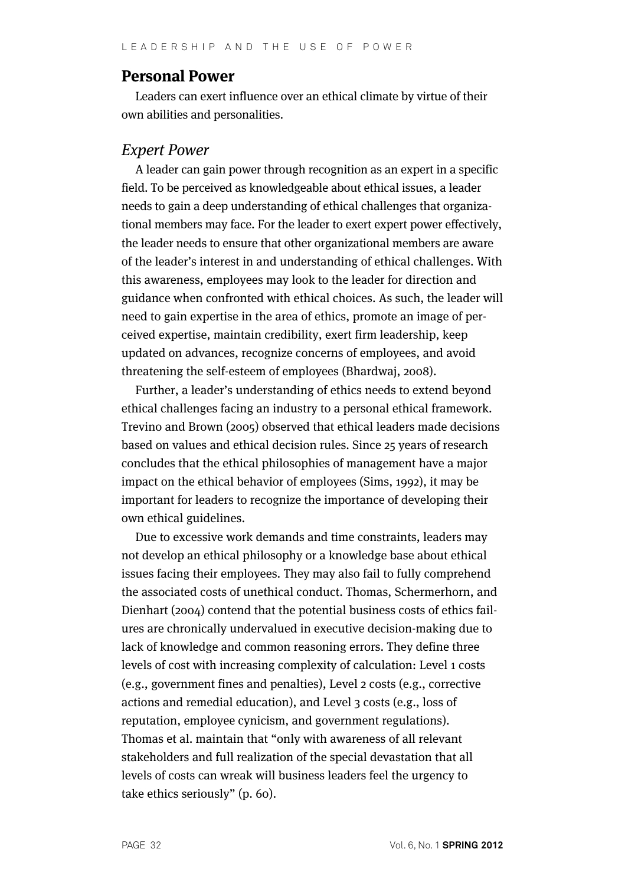#### **Personal Power**

Leaders can exert influence over an ethical climate by virtue of their own abilities and personalities.

#### Expert Power

A leader can gain power through recognition as an expert in a specific field. To be perceived as knowledgeable about ethical issues, a leader needs to gain a deep understanding of ethical challenges that organizational members may face. For the leader to exert expert power effectively, the leader needs to ensure that other organizational members are aware of the leader's interest in and understanding of ethical challenges. With this awareness, employees may look to the leader for direction and guidance when confronted with ethical choices. As such, the leader will need to gain expertise in the area of ethics, promote an image of perceived expertise, maintain credibility, exert firm leadership, keep updated on advances, recognize concerns of employees, and avoid threatening the self-esteem of employees (Bhardwaj, 2008).

Further, a leader's understanding of ethics needs to extend beyond ethical challenges facing an industry to a personal ethical framework. Trevino and Brown (2005) observed that ethical leaders made decisions based on values and ethical decision rules. Since 25 years of research concludes that the ethical philosophies of management have a major impact on the ethical behavior of employees (Sims, 1992), it may be important for leaders to recognize the importance of developing their own ethical guidelines.

Due to excessive work demands and time constraints, leaders may not develop an ethical philosophy or a knowledge base about ethical issues facing their employees. They may also fail to fully comprehend the associated costs of unethical conduct. Thomas, Schermerhorn, and Dienhart (2004) contend that the potential business costs of ethics failures are chronically undervalued in executive decision-making due to lack of knowledge and common reasoning errors. They define three levels of cost with increasing complexity of calculation: Level 1 costs (e.g., government fines and penalties), Level 2 costs (e.g., corrective actions and remedial education), and Level 3 costs (e.g., loss of reputation, employee cynicism, and government regulations). Thomas et al. maintain that "only with awareness of all relevant stakeholders and full realization of the special devastation that all levels of costs can wreak will business leaders feel the urgency to take ethics seriously" (p. 60).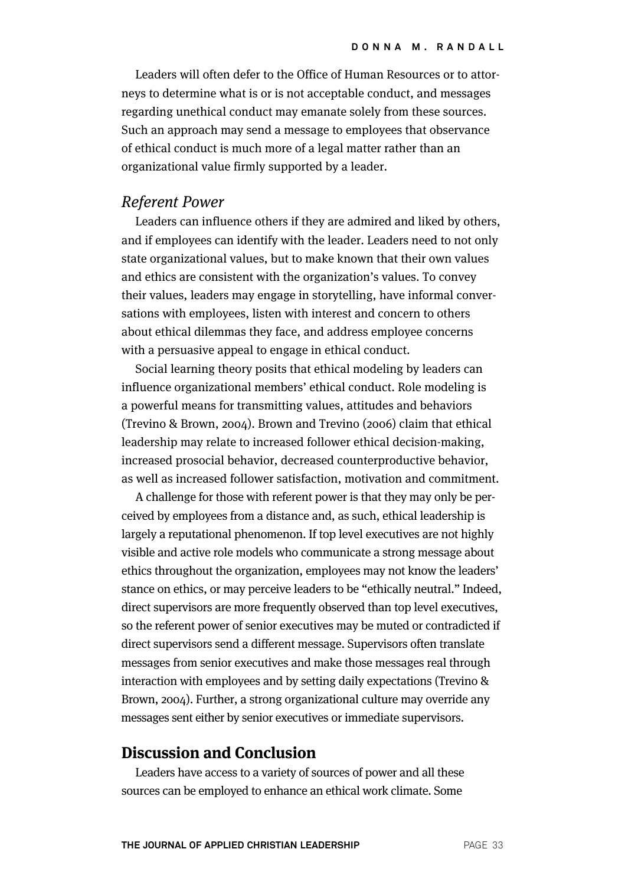Leaders will often defer to the Office of Human Resources or to attorneys to determine what is or is not acceptable conduct, and messages regarding unethical conduct may emanate solely from these sources. Such an approach may send a message to employees that observance of ethical conduct is much more of a legal matter rather than an organizational value firmly supported by a leader.

#### Referent Power

Leaders can influence others if they are admired and liked by others, and if employees can identify with the leader. Leaders need to not only state organizational values, but to make known that their own values and ethics are consistent with the organization's values. To convey their values, leaders may engage in storytelling, have informal conversations with employees, listen with interest and concern to others about ethical dilemmas they face, and address employee concerns with a persuasive appeal to engage in ethical conduct.

Social learning theory posits that ethical modeling by leaders can influence organizational members' ethical conduct. Role modeling is a powerful means for transmitting values, attitudes and behaviors (Trevino & Brown, 2004). Brown and Trevino (2006) claim that ethical leadership may relate to increased follower ethical decision-making, increased prosocial behavior, decreased counterproductive behavior, as well as increased follower satisfaction, motivation and commitment.

A challenge for those with referent power is that they may only be perceived by employees from a distance and, as such, ethical leadership is largely a reputational phenomenon. If top level executives are not highly visible and active role models who communicate a strong message about ethics throughout the organization, employees may not know the leaders' stance on ethics, or may perceive leaders to be "ethically neutral." Indeed, direct supervisors are more frequently observed than top level executives, so the referent power of senior executives may be muted or contradicted if direct supervisors send a different message. Supervisors often translate messages from senior executives and make those messages real through interaction with employees and by setting daily expectations (Trevino & Brown, 2004). Further, a strong organizational culture may override any messages sent either by senior executives or immediate supervisors.

## **Discussion and Conclusion**

Leaders have access to a variety of sources of power and all these sources can be employed to enhance an ethical work climate. Some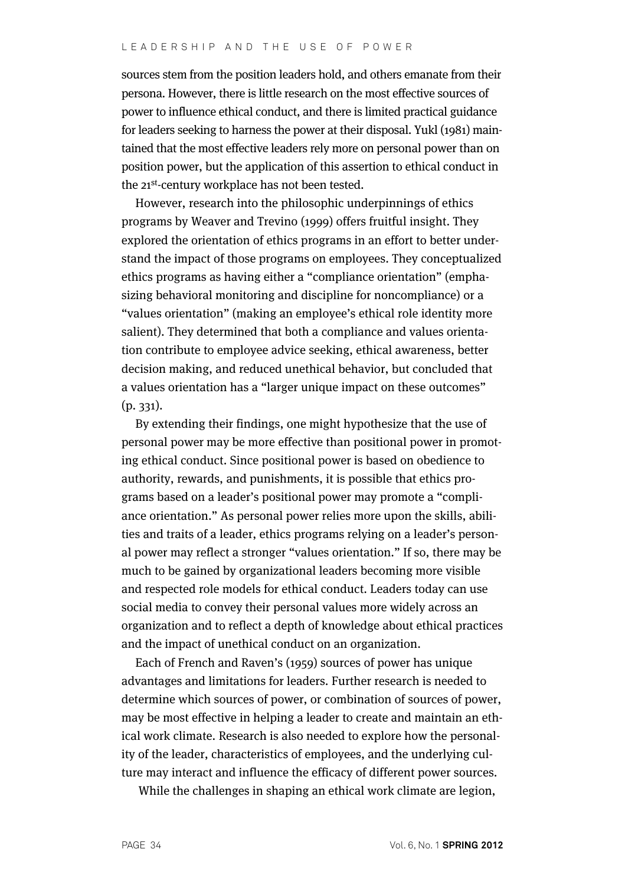sources stem from the position leaders hold, and others emanate from their persona. However, there is little research on the most effective sources of power to influence ethical conduct, and there is limited practical guidance for leaders seeking to harness the power at their disposal. Yukl (1981) maintained that the most effective leaders rely more on personal power than on position power, but the application of this assertion to ethical conduct in the 21<sup>st</sup>-century workplace has not been tested.

However, research into the philosophic underpinnings of ethics programs by Weaver and Trevino (1999) offers fruitful insight. They explored the orientation of ethics programs in an effort to better understand the impact of those programs on employees. They conceptualized ethics programs as having either a "compliance orientation" (emphasizing behavioral monitoring and discipline for noncompliance) or a "values orientation" (making an employee's ethical role identity more salient). They determined that both a compliance and values orientation contribute to employee advice seeking, ethical awareness, better decision making, and reduced unethical behavior, but concluded that a values orientation has a "larger unique impact on these outcomes" (p. 331).

By extending their findings, one might hypothesize that the use of personal power may be more effective than positional power in promoting ethical conduct. Since positional power is based on obedience to authority, rewards, and punishments, it is possible that ethics programs based on a leader's positional power may promote a "compliance orientation." As personal power relies more upon the skills, abilities and traits of a leader, ethics programs relying on a leader's personal power may reflect a stronger "values orientation." If so, there may be much to be gained by organizational leaders becoming more visible and respected role models for ethical conduct. Leaders today can use social media to convey their personal values more widely across an organization and to reflect a depth of knowledge about ethical practices and the impact of unethical conduct on an organization.

Each of French and Raven's (1959) sources of power has unique advantages and limitations for leaders. Further research is needed to determine which sources of power, or combination of sources of power, may be most effective in helping a leader to create and maintain an ethical work climate. Research is also needed to explore how the personality of the leader, characteristics of employees, and the underlying culture may interact and influence the efficacy of different power sources.

While the challenges in shaping an ethical work climate are legion,